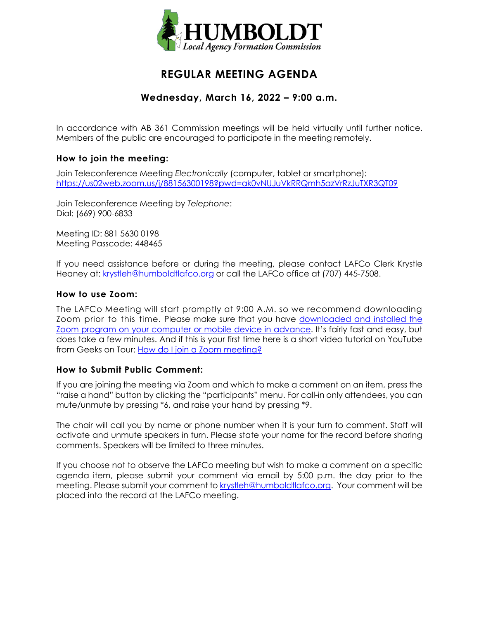

# **REGULAR MEETING AGENDA**

# **Wednesday, March 16, 2022 – 9:00 a.m.**

In accordance with AB 361 Commission meetings will be held virtually until further notice. Members of the public are encouraged to participate in the meeting remotely.

## **How to join the meeting:**

Join Teleconference Meeting *Electronically* (computer, tablet or smartphone): <https://us02web.zoom.us/j/88156300198?pwd=ak0vNUJuVkRRQmh5azVrRzJuTXR3QT09>

Join Teleconference Meeting by *Telephone*: Dial: (669) 900-6833

Meeting ID: 881 5630 0198 Meeting Passcode: 448465

If you need assistance before or during the meeting, please contact LAFCo Clerk Krystle Heaney at: [krystleh@humboldtlafco.org](mailto:krystleh@humboldtlafco.org) or call the LAFCo office at (707) 445-7508.

#### **How to use Zoom:**

The LAFCo Meeting will start promptly at 9:00 A.M. so we recommend downloading Zoom prior to this time. Please make sure that you have [downloaded and installed the](https://zoom.us/download)  [Zoom program on your computer or mobile device in advance.](https://zoom.us/download) It's fairly fast and easy, but does take a few minutes. And if this is your first time here is a short video tutorial on YouTube from Geeks on Tour: [How do I join a Zoom meeting?](https://www.youtube.com/watch?v=kh50kVaIdAY)

## **How to Submit Public Comment:**

If you are joining the meeting via Zoom and which to make a comment on an item, press the "raise a hand" button by clicking the "participants" menu. For call-in only attendees, you can mute/unmute by pressing \*6, and raise your hand by pressing \*9.

The chair will call you by name or phone number when it is your turn to comment. Staff will activate and unmute speakers in turn. Please state your name for the record before sharing comments. Speakers will be limited to three minutes.

If you choose not to observe the LAFCo meeting but wish to make a comment on a specific agenda item, please submit your comment via email by 5:00 p.m. the day prior to the meeting. Please submit your comment to [krystleh@humboldtlafco.org.](mailto:krystleh@humboldtlafco.org) Your comment will be placed into the record at the LAFCo meeting.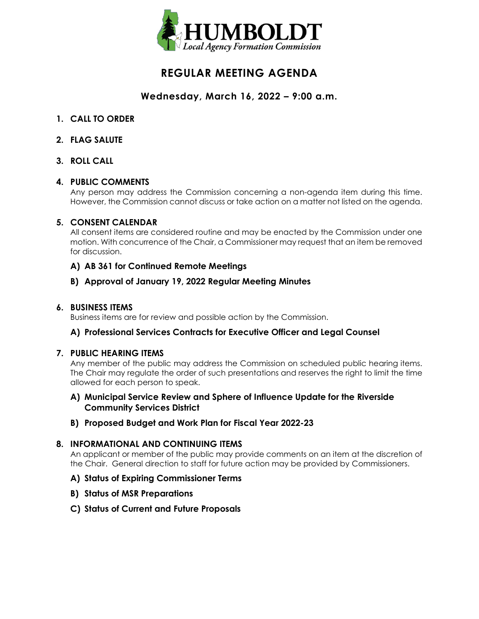

# **REGULAR MEETING AGENDA**

# **Wednesday, March 16, 2022 – 9:00 a.m.**

- **1. CALL TO ORDER**
- **2. FLAG SALUTE**
- **3. ROLL CALL**

## **4. PUBLIC COMMENTS**

Any person may address the Commission concerning a non-agenda item during this time. However, the Commission cannot discuss or take action on a matter not listed on the agenda.

#### **5. CONSENT CALENDAR**

All consent items are considered routine and may be enacted by the Commission under one motion. With concurrence of the Chair, a Commissioner may request that an item be removed for discussion.

## **A) AB 361 for Continued Remote Meetings**

## **B) Approval of January 19, 2022 Regular Meeting Minutes**

## **6. BUSINESS ITEMS**

Business items are for review and possible action by the Commission.

## **A) Professional Services Contracts for Executive Officer and Legal Counsel**

#### **7. PUBLIC HEARING ITEMS**

Any member of the public may address the Commission on scheduled public hearing items. The Chair may regulate the order of such presentations and reserves the right to limit the time allowed for each person to speak.

## **A) Municipal Service Review and Sphere of Influence Update for the Riverside Community Services District**

## **B) Proposed Budget and Work Plan for Fiscal Year 2022-23**

## **8. INFORMATIONAL AND CONTINUING ITEMS**

An applicant or member of the public may provide comments on an item at the discretion of the Chair. General direction to staff for future action may be provided by Commissioners.

## **A) Status of Expiring Commissioner Terms**

- **B) Status of MSR Preparations**
- **C) Status of Current and Future Proposals**